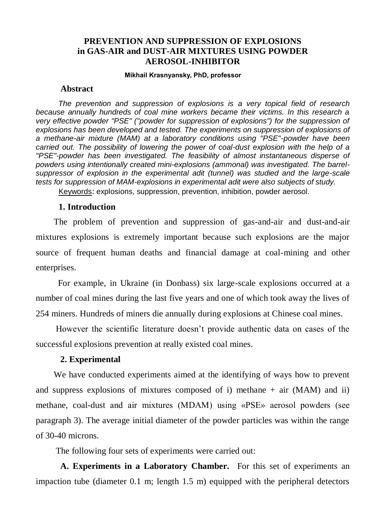# **PREVENTION AND SUPPRESSION OF EXPLOSIONS in GAS-AIR and DUST-AIR MIXTURES USING POWDER AEROSOL-INHIBITOR**

# $M$ ikhail Krasnyansky, PhD, professor

#### **Abstract**

*The prevention and suppression of explosions is a very topical field of research because annually hundreds of coal mine workers became their victims. In this research a very effective powder "PSE" ("powder for suppression of explosions") for the suppression of explosions has been developed and tested. The experiments on suppression of explosions of a methane-air mixture (MAM) at a laboratory conditions using "PSE"-powder have been carried out. The possibility of lowering the power of coal-dust explosion with the help of a "PSE"-powder has been investigated. The feasibility of almost instantaneous disperse of powders using intentionally created mini-explosions (ammonal) was investigated. The barrelsuppressor of explosion in the experimental adit (tunnel) was studied and the large-scale tests for suppression of MAM-explosions in experimental adit were also subjects of study.*

Keywords: explosions, suppression, prevention, inhibition, powder aerosol.

## **1. Introduction**

The problem of prevention and suppression of gas-and-air and dust-and-air mixtures explosions is extremely important because such explosions are the major source of frequent human deaths and financial damage at coal-mining and other enterprises.

 For example, in Ukraine (in Donbass) six large-scale explosions occurred at a number of coal mines during the last five years and one of which took away the lives of 254 miners. Hundreds of miners die annually during explosions at Chinese coal mines.

 However the scientific literature doesn't provide authentic data on cases of the successful explosions prevention at really existed coal mines.

#### **2. Experimental**

We have conducted experiments aimed at the identifying of ways how to prevent and suppress explosions of mixtures composed of i) methane  $+$  air (MAM) and ii) methane, coal-dust and air mixtures (MDAM) using «PSE» aerosol powders (see paragraph 3). The average initial diameter of the powder particles was within the range of 30-40 microns.

The following four sets of experiments were carried out:

 **A. Experiments in a Laboratory Chamber.** For this set of experiments an impaction tube (diameter 0.1 m; length 1.5 m) equipped with the peripheral detectors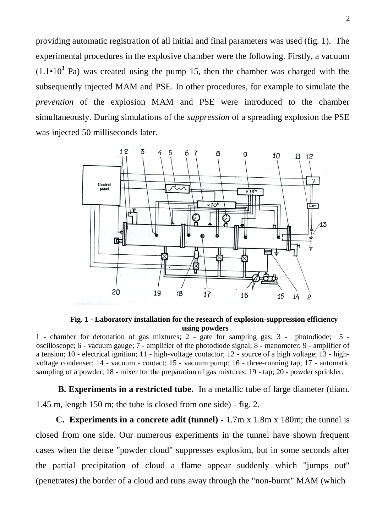providing automatic registration of all initial and final parameters was used (fig. 1). The experimental procedures in the explosive chamber were the following. Firstly, a vacuum  $(1.1 \cdot 10^3 \text{ Pa})$  was created using the pump 15, then the chamber was charged with the subsequently injected MAM and PSE. In other procedures, for example to simulate the *prevention* of the explosion MAM and PSE were introduced to the chamber simultaneously. During simulations of the *suppression* of a spreading explosion the PSE was injected 50 milliseconds later.



**Fig. 1 - Laboratory installation for the research of explosion-suppression efficiency using powders**

1 - chamber for detonation of gas mixtures; 2 - gate for sampling gas; 3 - photodiode; 5 oscilloscope; 6 - vacuum gauge; 7 - amplifier of the photodiode signal; 8 - manometer; 9 - amplifier of a tension; 10 - electrical ignition; 11 - high-voltage contactor; 12 - source of a high voltage; 13 - highvoltage condenser; 14 - vacuum - contact; 15 - vacuum pump; 16 - three-running tap; 17 - automatic sampling of a powder; 18 - mixer for the preparation of gas mixtures; 19 - tap; 20 - powder sprinkler.

 **B. Experiments in a restricted tube.** In a metallic tube of large diameter (diam. 1.45 m, length 150 m; the tube is closed from one side) - fig. 2.

 **C. Experiments in a concrete adit (tunnel)** - 1.7m x 1.8m x 180m; the tunnel is closed from one side. Our numerous experiments in the tunnel have shown frequent cases when the dense "powder cloud" suppresses explosion, but in some seconds after the partial precipitation of cloud a flame appear suddenly which "jumps out" (penetrates) the border of a cloud and runs away through the "non-burnt" MAM (which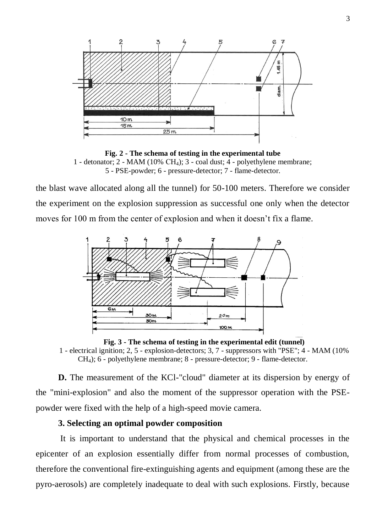

**Fig. 2 - The schema of testing in the experimental tube** 1 - detonator; 2 - MAM (10% CH<sub>4</sub>); 3 - coal dust; 4 - polyethylene membrane; 5 - PSE-powder; 6 - pressure-detector; 7 - flame-detector.

the blast wave allocated along all the tunnel) for 50-100 meters. Therefore we consider the experiment on the explosion suppression as successful one only when the detector moves for 100 m from the center of explosion and when it doesn't fix a flame.



**Fig. 3 - The schema of testing in the experimental edit (tunnel)** 1 - electrical ignition; 2, 5 - explosion-detectors; 3, 7 - suppressors with "PSE"; 4 - MAM (10% CH4); 6 - polyethylene membrane; 8 - pressure-detector; 9 - flame-detector.

**D.** The measurement of the KCl-"cloud" diameter at its dispersion by energy of the "mini-explosion" and also the moment of the suppressor operation with the PSEpowder were fixed with the help of a high-speed movie camera.

# **3. Selecting an optimal powder composition**

 It is important to understand that the physical and chemical processes in the epicenter of an explosion essentially differ from normal processes of combustion, therefore the conventional fire-extinguishing agents and equipment (among these are the pyro-aerosols) are completely inadequate to deal with such explosions. Firstly, because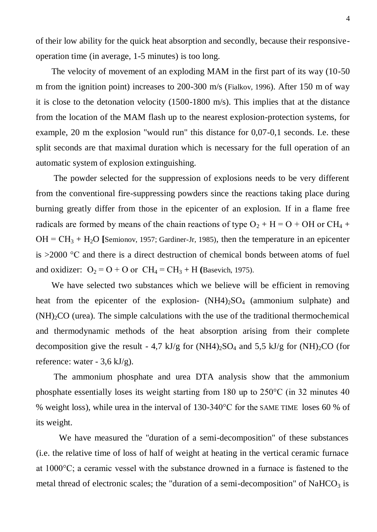of their low ability for the quick heat absorption and secondly, because their responsiveoperation time (in average, 1-5 minutes) is too long.

 The velocity of movement of an exploding MAM in the first part of its way (10-50 m from the ignition point) increases to 200-300 m/s (Fialkov, 1996). After 150 m of way it is close to the detonation velocity (1500-1800 m/s). This implies that at the distance from the location of the MAM flash up to the nearest explosion-protection systems, for example, 20 m the explosion "would run" this distance for 0,07-0,1 seconds. I.e. these split seconds are that maximal duration which is necessary for the full operation of an automatic system of explosion extinguishing.

 The powder selected for the suppression of explosions needs to be very different from the conventional fire-suppressing powders since the reactions taking place during burning greatly differ from those in the epicenter of an explosion. If in a flame free radicals are formed by means of the chain reactions of type  $O_2 + H = O + OH$  or  $CH_4 +$  $OH = CH<sub>3</sub> + H<sub>2</sub>O$  [Semionov, 1957; Gardiner-Jr, 1985), then the temperature in an epicenter is >2000 °С and there is a direct destruction of chemical bonds between atoms of fuel and oxidizer:  $O_2 = O + O$  or  $CH_4 = CH_3 + H$  (Basevich, 1975).

 We have selected two substances which we believe will be efficient in removing heat from the epicenter of the explosion-  $(NH4)_{2}SO_{4}$  (ammonium sulphate) and  $(NH)_{2}CO$  (urea). The simple calculations with the use of the traditional thermochemical and thermodynamic methods of the heat absorption arising from their complete decomposition give the result - 4,7 kJ/g for  $(NH4)_2SO_4$  and 5,5 kJ/g for  $(NH)_2CO$  (for reference: water -  $3,6$  kJ/g).

 The ammonium phosphate and urea DTA analysis show that the ammonium phosphate essentially loses its weight starting from 180 up to 250°С (in 32 minutes 40 % weight loss), while urea in the interval of 130-340°С for the SAME TIME loses 60 % of its weight.

We have measured the "duration of a semi-decomposition" of these substances (i.e. the relative time of loss of half of weight at heating in the vertical ceramic furnace at 1000°С; a ceramic vessel with the substance drowned in a furnace is fastened to the metal thread of electronic scales; the "duration of a semi-decomposition" of NaHCO<sub>3</sub> is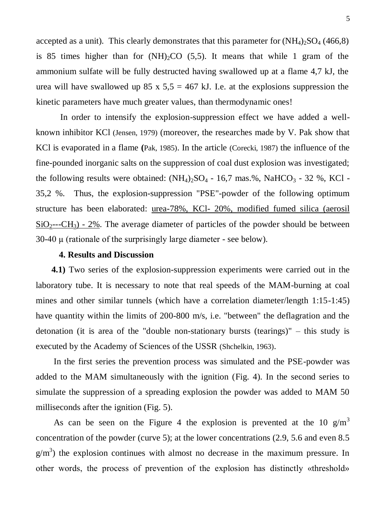accepted as a unit). This clearly demonstrates that this parameter for  $(NH_4)_{2}SO_4$  (466,8) is 85 times higher than for  $(NH)_{2}CO$  (5,5). It means that while 1 gram of the ammonium sulfate will be fully destructed having swallowed up at a flame 4,7 kJ, the urea will have swallowed up 85 x  $5.5 = 467$  kJ. I.e. at the explosions suppression the kinetic parameters have much greater values, than thermodynamic ones!

 In order to intensify the explosion-suppression effect we have added a wellknown inhibitor KCl (Jensen, 1979) (moreover, the researches made by V. Pak show that KCl is evaporated in a flame **(**Pak, 1985). In the article (Corecki, 1987) the influence of the fine-pounded inorganic salts on the suppression of coal dust explosion was investigated; the following results were obtained:  $(NH_4)_2SO_4$  - 16,7 mas.%, NaHCO<sub>3</sub> - 32 %, KCl -35,2 %. Thus, the explosion-suppression "PSE"-powder of the following optimum structure has been elaborated: urea-78%, KCl- 20%, modified fumed silica (aerosil  $SiO<sub>2</sub>--CH<sub>3</sub>$ ) - 2%. The average diameter of particles of the powder should be between 30-40 µ (rationale of the surprisingly large diameter - see below).

## **4. Results and Discussion**

 **4.1)** Two series of the explosion-suppression experiments were carried out in the laboratory tube. It is necessary to note that real speeds of the MAM-burning at coal mines and other similar tunnels (which have a correlation diameter/length 1:15-1:45) have quantity within the limits of 200-800 m/s, i.e. "between" the deflagration and the detonation (it is area of the "double non-stationary bursts (tearings)" – this study is executed by the Academy of Sciences of the USSR (Shchelkin, 1963).

In the first series the prevention process was simulated and the PSE-powder was added to the MAM simultaneously with the ignition (Fig. 4). In the second series to simulate the suppression of a spreading explosion the powder was added to MAM 50 milliseconds after the ignition (Fig. 5).

As can be seen on the Figure 4 the explosion is prevented at the 10  $g/m<sup>3</sup>$ concentration of the powder (curve 5); at the lower concentrations (2.9, 5.6 and even 8.5  $g/m<sup>3</sup>$ ) the explosion continues with almost no decrease in the maximum pressure. In other words, the process of prevention of the explosion has distinctly «threshold»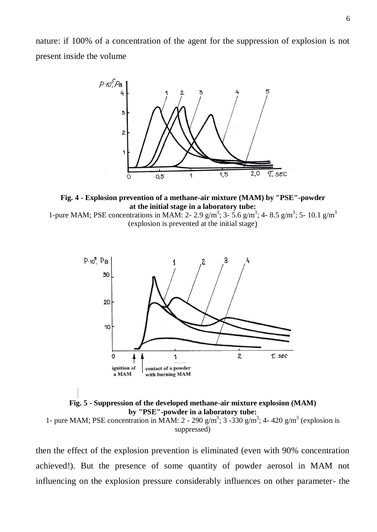nature: if 100% of a concentration of the agent for the suppression of explosion is not present inside the volume



**Fig. 4 - Explosion prevention of a methane-air mixture (MAM) by "PSE"-powder at the initial stage in a laboratory tube:**

1-pure MAM; PSE concentrations in MAM: 2- 2.9 g/m<sup>3</sup>; 3- 5.6 g/m<sup>3</sup>; 4- 8.5 g/m<sup>3</sup>; 5- 10.1 g/m<sup>3</sup> (explosion is prevented at the initial stage)



**Fig. 5 - Suppression of the developed methane-air mixture explosion (MAM) by "PSE"-powder in a laboratory tube:** 1- pure MAM; PSE concentration in MAM: 2 - 290  $g/m^3$ ; 3 -330  $g/m^3$ ; 4-420  $g/m^3$  (explosion is suppressed)

then the effect of the explosion prevention is eliminated (even with 90% concentration achieved!). But the presence of some quantity of powder aerosol in MAM not influencing on the explosion pressure considerably influences on other parameter- the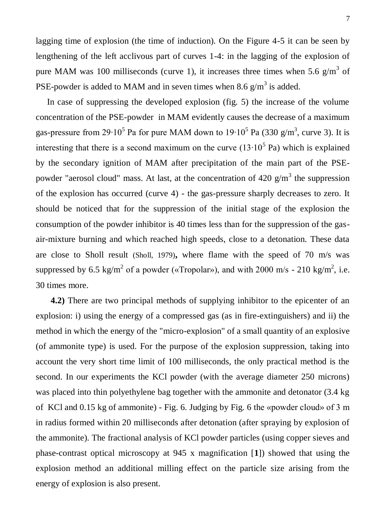lagging time of explosion (the time of induction). On the Figure 4-5 it can be seen by lengthening of the left acclivous part of curves 1-4: in the lagging of the explosion of pure MAM was 100 milliseconds (curve 1), it increases three times when 5.6  $g/m<sup>3</sup>$  of PSE-powder is added to MAM and in seven times when 8.6  $g/m<sup>3</sup>$  is added.

 In case of suppressing the developed explosion (fig. 5) the increase of the volume concentration of the PSE-powder in MAM evidently causes the decrease of a maximum gas-pressure from 29 $\cdot 10^5$  Pa for pure MAM down to  $19 \cdot 10^5$  Pa (330 g/m<sup>3</sup>, curve 3). It is interesting that there is a second maximum on the curve  $(13 \cdot 10^5 \text{ Pa})$  which is explained by the secondary ignition of MAM after precipitation of the main part of the PSEpowder "aerosol cloud" mass. At last, at the concentration of 420  $g/m<sup>3</sup>$  the suppression of the explosion has occurred (curve 4) - the gas-pressure sharply decreases to zero. It should be noticed that for the suppression of the initial stage of the explosion the consumption of the powder inhibitor is 40 times less than for the suppression of the gasair-mixture burning and which reached high speeds, close to a detonation. These data are close to Sholl result (Sholl, 1979)**,** where flame with the speed of 70 m/s was suppressed by 6.5 kg/m<sup>2</sup> of a powder («Tropolar»), and with 2000 m/s - 210 kg/m<sup>2</sup>, i.e. 30 times more.

 **4.2)** There are two principal methods of supplying inhibitor to the epicenter of an explosion: i) using the energy of a compressed gas (as in fire-extinguishers) and ii) the method in which the energy of the "micro-explosion" of a small quantity of an explosive (of ammonite type) is used. For the purpose of the explosion suppression, taking into account the very short time limit of 100 milliseconds, the only practical method is the second. In our experiments the KCl powder (with the average diameter 250 microns) was placed into thin polyethylene bag together with the ammonite and detonator (3.4 kg of KCl and 0.15 kg of ammonite) - Fig. 6. Judging by Fig. 6 the «powder cloud» of 3 m in radius formed within 20 milliseconds after detonation (after spraying by explosion of the ammonite). The fractional analysis of KCl powder particles (using copper sieves and phase-contrast optical microscopy at 945 x magnification [**1**]) showed that using the explosion method an additional milling effect on the particle size arising from the energy of explosion is also present.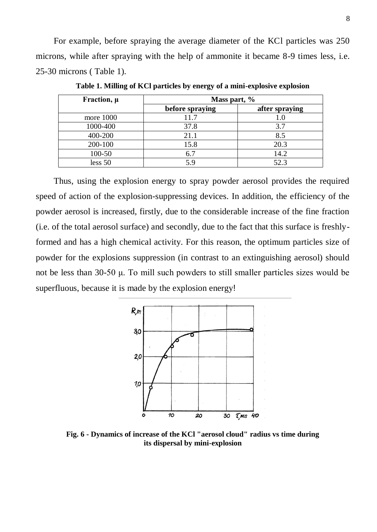For example, before spraying the average diameter of the KCl particles was 250 microns, while after spraying with the help of ammonite it became 8-9 times less, i.e. 25-30 microns ( Table 1).

| Fraction, $\mu$ | Mass part, %    |                |
|-----------------|-----------------|----------------|
|                 | before spraying | after spraying |
| more 1000       | 11.7            | 1.0            |
| 1000-400        | 37.8            | 3.7            |
| 400-200         | 21.1            | 8.5            |
| 200-100         | 15.8            | 20.3           |
| 100-50          | 6.7             | 14.2           |
| less 50         |                 | 52.3           |

**Table 1. Milling of KCl particles by energy of a mini-explosive explosion** 

Thus, using the explosion energy to spray powder aerosol provides the required speed of action of the explosion-suppressing devices. In addition, the efficiency of the powder aerosol is increased, firstly, due to the considerable increase of the fine fraction (i.e. of the total aerosol surface) and secondly, due to the fact that this surface is freshlyformed and has a high chemical activity. For this reason, the optimum particles size of powder for the explosions suppression (in contrast to an extinguishing aerosol) should not be less than 30-50 μ. To mill such powders to still smaller particles sizes would be superfluous, because it is made by the explosion energy!



**Fig. 6 - Dynamics of increase of the KCl "aerosol cloud" radius vs time during its dispersal by mini-explosion**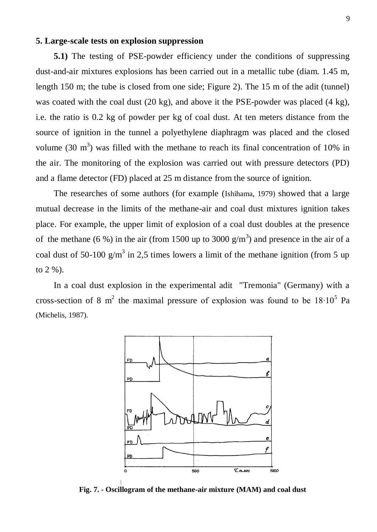## **5. Large-scale tests on explosion suppression**

**5.1)** The testing of PSE-powder efficiency under the conditions of suppressing dust-and-air mixtures explosions has been carried out in a metallic tube (diam. 1.45 m, length 150 m; the tube is closed from one side; Figure 2). The 15 m of the adit (tunnel) was coated with the coal dust (20 kg), and above it the PSE-powder was placed (4 kg), i.e. the ratio is 0.2 kg of powder per kg of coal dust. At ten meters distance from the source of ignition in the tunnel a polyethylene diaphragm was placed and the closed volume (30  $\text{m}^3$ ) was filled with the methane to reach its final concentration of 10% in the air. The monitoring of the explosion was carried out with pressure detectors (PD) and a flame detector (FD) placed at 25 m distance from the source of ignition.

The researches of some authors (for example (Ishihama, 1979) showed that a large mutual decrease in the limits of the methane-air and coal dust mixtures ignition takes place. For example, the upper limit of explosion of a coal dust doubles at the presence of the methane (6 %) in the air (from 1500 up to 3000  $g/m<sup>3</sup>$ ) and presence in the air of a coal dust of 50-100  $g/m^3$  in 2,5 times lowers a limit of the methane ignition (from 5 up to 2 %).

 In a coal dust explosion in the experimental adit "Tremonia" (Germany) with a cross-section of 8 m<sup>2</sup> the maximal pressure of explosion was found to be  $18 \cdot 10^5$  Pa (Michelis, 1987).



**Fig. 7. - Oscillogram of the methane-air mixture (MAM) and coal dust**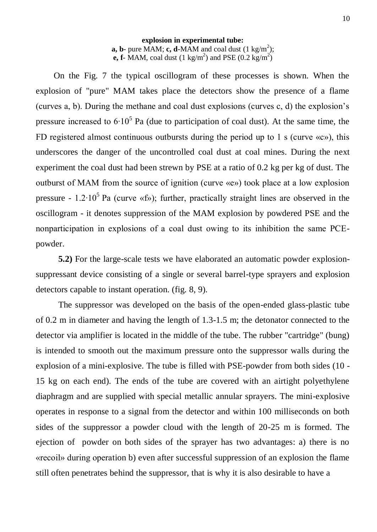#### **explosion in experimental tube: a, b**- pure MAM; **c, d**-MAM and coal dust  $(1 \text{ kg/m}^2)$ ; **e, f**- MAM, coal dust  $(1 \text{ kg/m}^2)$  and PSE  $(0.2 \text{ kg/m}^2)$

On the Fig. 7 the typical oscillogram of these processes is shown. When the explosion of "pure" MAM takes place the detectors show the presence of a flame (curves a, b). During the methane and coal dust explosions (curves c, d) the explosion's pressure increased to  $6.10^5$  Pa (due to participation of coal dust). At the same time, the FD registered almost continuous outbursts during the period up to 1 s (curve  $\langle \langle c \rangle$ ), this underscores the danger of the uncontrolled coal dust at coal mines. During the next experiment the coal dust had been strewn by PSE at a ratio of 0.2 kg per kg of dust. The outburst of MAM from the source of ignition (curve «e») took place at a low explosion pressure -  $1.2 \cdot 10^5$  Pa (curve «f»); further, practically straight lines are observed in the oscillogram - it denotes suppression of the MAM explosion by powdered PSE and the nonparticipation in explosions of a coal dust owing to its inhibition the same РСЕpowder.

**5.2)** For the large-scale tests we have elaborated an automatic powder explosionsuppressant device consisting of a single or several barrel-type sprayers and explosion detectors capable to instant operation. (fig. 8, 9).

The suppressor was developed on the basis of the open-ended glass-plastic tube of 0.2 m in diameter and having the length of 1.3-1.5 m; the detonator connected to the detector via amplifier is located in the middle of the tube. The rubber "cartridge" (bung) is intended to smooth out the maximum pressure onto the suppressor walls during the explosion of a mini-explosive. The tube is filled with PSE-powder from both sides (10 - 15 kg on each end). The ends of the tube are covered with an airtight polyethylene diaphragm and are supplied with special metallic annular sprayers. The mini-explosive operates in response to a signal from the detector and within 100 milliseconds on both sides of the suppressor a powder cloud with the length of 20-25 m is formed. The ejection of powder on both sides of the sprayer has two advantages: a) there is no «recoil» during operation b) even after successful suppression of an explosion the flame still often penetrates behind the suppressor, that is why it is also desirable to have a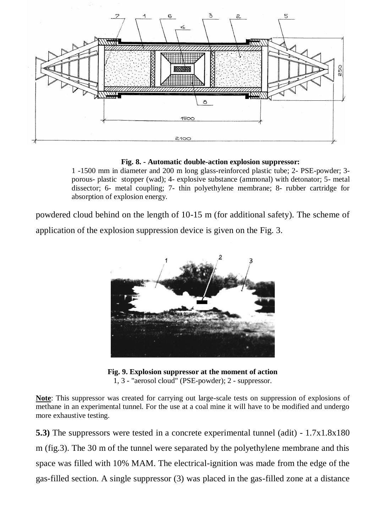

**Fig. 8. - Automatic double-action explosion suppressor:**

1 -1500 mm in diameter and 200 m long glass-reinforced plastic tube; 2- PSE-powder; 3 porous- plastic stopper (wad); 4- explosive substance (ammonal) with detonator; 5- metal dissector; 6- metal coupling; 7- thin polyethylene membrane; 8- rubber cartridge for absorption of explosion energy.

powdered cloud behind on the length of 10-15 m (for additional safety). The scheme of application of the explosion suppression device is given on the Fig. 3.



**Fig. 9. Explosion suppressor at the moment of action**  1, 3 - "aerosol cloud" (PSE-powder); 2 - suppressor.

**Note**: This suppressor was created for carrying out large-scale tests on suppression of explosions of methane in an experimental tunnel. For the use at a coal mine it will have to be modified and undergo more exhaustive testing.

**5.3)** The suppressors were tested in a concrete experimental tunnel (adit) - 1.7x1.8x180 m (fig.3). The 30 m of the tunnel were separated by the polyethylene membrane and this space was filled with 10% MAM. The electrical-ignition was made from the edge of the gas-filled section. A single suppressor (3) was placed in the gas-filled zone at a distance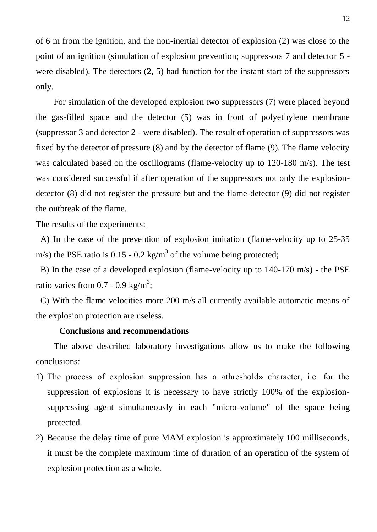of 6 m from the ignition, and the non-inertial detector of explosion (2) was close to the point of an ignition (simulation of explosion prevention; suppressors 7 and detector 5 were disabled). The detectors (2, 5) had function for the instant start of the suppressors only.

 For simulation of the developed explosion two suppressors (7) were placed beyond the gas-filled space and the detector (5) was in front of polyethylene membrane (suppressor 3 and detector 2 - were disabled). The result of operation of suppressors was fixed by the detector of pressure (8) and by the detector of flame (9). The flame velocity was calculated based on the oscillograms (flame-velocity up to 120-180 m/s). The test was considered successful if after operation of the suppressors not only the explosiondetector (8) did not register the pressure but and the flame-detector (9) did not register the outbreak of the flame.

#### The results of the experiments:

 A) In the case of the prevention of explosion imitation (flame-velocity up to 25-35 m/s) the PSE ratio is 0.15 - 0.2 kg/m<sup>3</sup> of the volume being protected;

 B) In the case of a developed explosion (flame-velocity up to 140-170 m/s) - the PSE ratio varies from 0.7 - 0.9 kg/m<sup>3</sup>;

 C) With the flame velocities more 200 m/s all currently available automatic means of the explosion protection are useless.

## **Conclusions and recommendations**

The above described laboratory investigations allow us to make the following conclusions:

- 1) The process of explosion suppression has a «threshold» character, i.e. for the suppression of explosions it is necessary to have strictly 100% of the explosionsuppressing agent simultaneously in each "micro-volume" of the space being protected.
- 2) Because the delay time of pure MAM explosion is approximately 100 milliseconds, it must be the complete maximum time of duration of an operation of the system of explosion protection as a whole.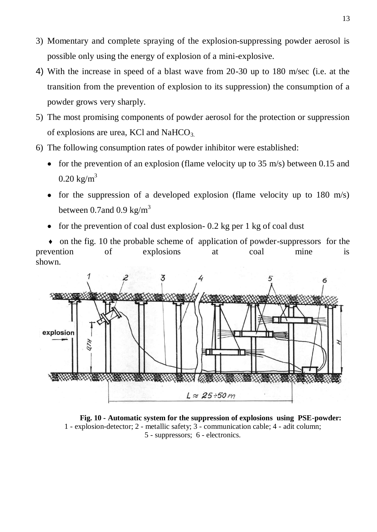- 3) Momentary and complete spraying of the explosion-suppressing powder aerosol is possible only using the energy of explosion of a mini-explosive.
- 4) With the increase in speed of a blast wave from 20-30 up to 180 m/sec (i.e. at the transition from the prevention of explosion to its suppression) the consumption of a powder grows very sharply.
- 5) The most promising components of powder aerosol for the protection or suppression of explosions are urea, KCl and NaHCO<sub>3.</sub>
- 6) The following consumption rates of powder inhibitor were established:
	- for the prevention of an explosion (flame velocity up to  $35 \text{ m/s}$ ) between 0.15 and  $0.20 \text{ kg/m}^3$
	- for the suppression of a developed explosion (flame velocity up to  $180 \text{ m/s}$ ) between 0.7and 0.9 kg/ $m<sup>3</sup>$
	- for the prevention of coal dust explosion- 0.2 kg per 1 kg of coal dust

 ♦ on the fig. 10 the probable scheme of application of powder-suppressors for the prevention of explosions at coal mine is shown.



**Fig. 10 - Automatic system for the suppression of explosions using PSE-powder:** 1 - explosion-detector; 2 - metallic safety; 3 - communication cable; 4 - adit column; 5 - suppressors; 6 - electronics.